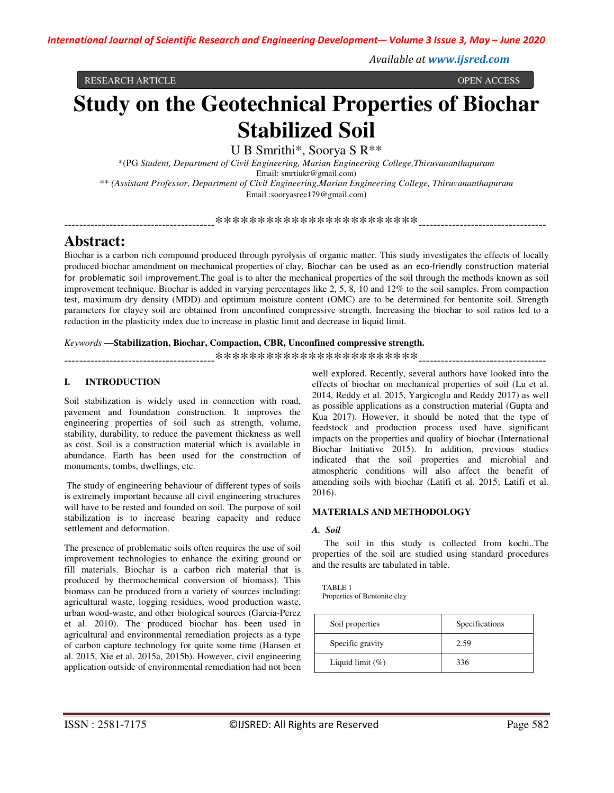*Available at www.ijsred.com*

RESEARCH ARTICLE OPEN ACCESS

# **Study on the Geotechnical Properties of Biochar Stabilized Soil**

U B Smrithi\*, Soorya S R\*\*

\*(PG *Student, Department of Civil Engineering, Marian Engineering College,Thiruvananthapuram* Email: smrtiukr@gmail.com) \*\* *(Assistant Professor, Department of Civil Engineering,Marian Engineering College, Thiruvananthapuram* Email :sooryasree179@gmail.com)

----------------------------------------\*\*\*\*\*\*\*\*\*\*\*\*\*\*\*\*\*\*\*\*\*\*\*\*----------------------------------

# **Abstract:**

Biochar is a carbon rich compound produced through pyrolysis of organic matter. This study investigates the effects of locally produced biochar amendment on mechanical properties of clay. Biochar can be used as an eco-friendly construction material for problematic soil improvement.The goal is to alter the mechanical properties of the soil through the methods known as soil improvement technique. Biochar is added in varying percentages like 2, 5, 8, 10 and 12% to the soil samples. From compaction test, maximum dry density (MDD) and optimum moisture content (OMC) are to be determined for bentonite soil. Strength parameters for clayey soil are obtained from unconfined compressive strength. Increasing the biochar to soil ratios led to a reduction in the plasticity index due to increase in plastic limit and decrease in liquid limit.

#### *Keywords* **—Stabilization, Biochar, Compaction, CBR, Unconfined compressive strength.**

----------------------------------------\*\*\*\*\*\*\*\*\*\*\*\*\*\*\*\*\*\*\*\*\*\*\*\*----------------------------------

# **I. INTRODUCTION**

Soil stabilization is widely used in connection with road, pavement and foundation construction. It improves the engineering properties of soil such as strength, volume, stability, durability, to reduce the pavement thickness as well as cost. Soil is a construction material which is available in abundance. Earth has been used for the construction of monuments, tombs, dwellings, etc.

 The study of engineering behaviour of different types of soils is extremely important because all civil engineering structures will have to be rested and founded on soil. The purpose of soil stabilization is to increase bearing capacity and reduce settlement and deformation.

The presence of problematic soils often requires the use of soil improvement technologies to enhance the exiting ground or fill materials. Biochar is a carbon rich material that is produced by thermochemical conversion of biomass). This biomass can be produced from a variety of sources including: agricultural waste, logging residues, wood production waste, urban wood-waste, and other biological sources (Garcia-Perez et al. 2010). The produced biochar has been used in agricultural and environmental remediation projects as a type of carbon capture technology for quite some time (Hansen et al. 2015, Xie et al. 2015a, 2015b). However, civil engineering application outside of environmental remediation had not been well explored. Recently, several authors have looked into the effects of biochar on mechanical properties of soil (Lu et al. 2014, Reddy et al. 2015, Yargicoglu and Reddy 2017) as well as possible applications as a construction material (Gupta and Kua 2017). However, it should be noted that the type of feedstock and production process used have significant impacts on the properties and quality of biochar (International Biochar Initiative 2015). In addition, previous studies indicated that the soil properties and microbial and atmospheric conditions will also affect the benefit of amending soils with biochar (Latifi et al. 2015; Latifi et al. 2016).

### **MATERIALS AND METHODOLOGY**

#### *A. Soil*

 The soil in this study is collected from kochi..The properties of the soil are studied using standard procedures and the results are tabulated in table.

TABLE 1 Properties of Bentonite clay

| Soil properties     | Specifications |
|---------------------|----------------|
| Specific gravity    | 2.59           |
| Liquid limit $(\%)$ | 336            |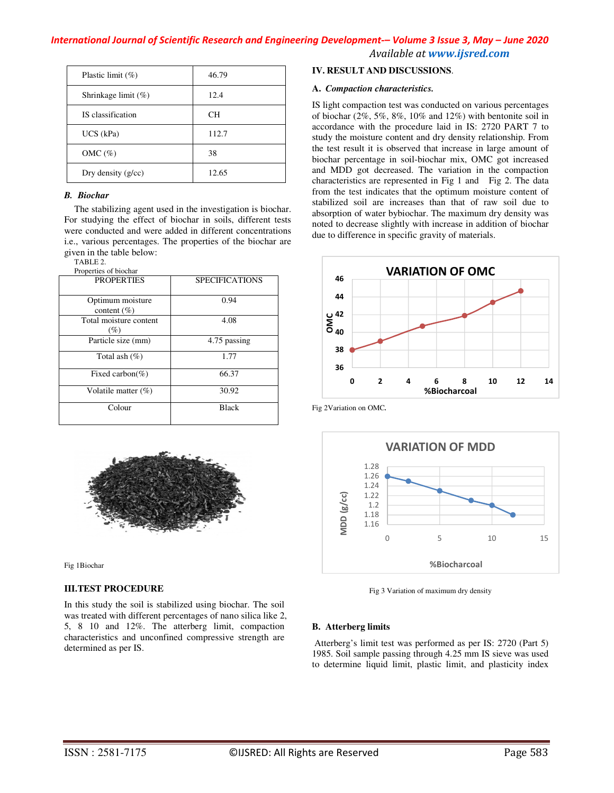| Plastic limit $(\%)$   | 46.79     |
|------------------------|-----------|
| Shrinkage limit $(\%)$ | 12.4      |
| IS classification      | <b>CH</b> |
| $UCS$ (kPa)            | 112.7     |
| $OMC(\%)$              | 38        |
| Dry density $(g/cc)$   | 12.65     |

### *B. Biochar*

The stabilizing agent used in the investigation is biochar. For studying the effect of biochar in soils, different tests were conducted and were added in different concentrations i.e., various percentages. The properties of the biochar are given in the table below:

TABLE 2.

| Properties of biochar               |                       |
|-------------------------------------|-----------------------|
| <b>PROPERTIES</b>                   | <b>SPECIFICATIONS</b> |
| Optimum moisture<br>content $(\% )$ | 0.94                  |
| Total moisture content<br>(%)       | 4.08                  |
| Particle size (mm)                  | 4.75 passing          |
| Total ash $(\%)$                    | 1.77                  |
| Fixed carbon(%)                     | 66.37                 |
| Volatile matter $(\%)$              | 30.92                 |
| Colour                              | <b>Black</b>          |



Fig 1Biochar

### **III.TEST PROCEDURE**

In this study the soil is stabilized using biochar. The soil was treated with different percentages of nano silica like 2, 5, 8 10 and 12%. The atterberg limit, compaction characteristics and unconfined compressive strength are determined as per IS.

### **IV. RESULT AND DISCUSSIONS**.

#### **A.** *Compaction characteristics.*

IS light compaction test was conducted on various percentages of biochar (2%, 5%, 8%, 10% and 12%) with bentonite soil in accordance with the procedure laid in IS: 2720 PART 7 to study the moisture content and dry density relationship. From the test result it is observed that increase in large amount of biochar percentage in soil-biochar mix, OMC got increased and MDD got decreased. The variation in the compaction characteristics are represented in Fig 1 and Fig 2. The data from the test indicates that the optimum moisture content of stabilized soil are increases than that of raw soil due to absorption of water bybiochar. The maximum dry density was noted to decrease slightly with increase in addition of biochar due to difference in specific gravity of materials.



Fig 2Variation on OMC*.*



Fig 3 Variation of maximum dry density

### **B. Atterberg limits**

 Atterberg's limit test was performed as per IS: 2720 (Part 5) 1985. Soil sample passing through 4.25 mm IS sieve was used to determine liquid limit, plastic limit, and plasticity index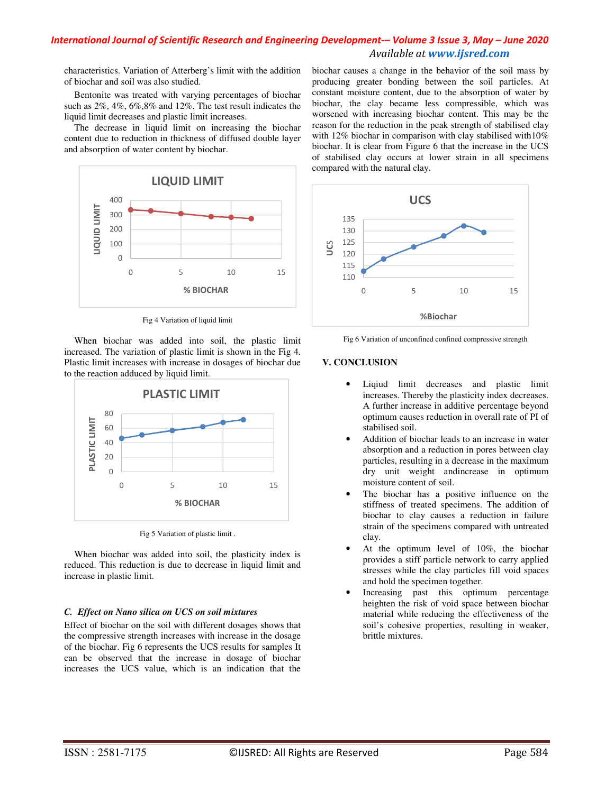# *International Journal of Scientific Research and Engineering Development-– Volume 3 Issue 3, May – June 2020 Available at www.ijsred.com*

characteristics. Variation of Atterberg's limit with the addition of biochar and soil was also studied.

Bentonite was treated with varying percentages of biochar such as 2%, 4%, 6%,8% and 12%. The test result indicates the liquid limit decreases and plastic limit increases.

The decrease in liquid limit on increasing the biochar content due to reduction in thickness of diffused double layer and absorption of water content by biochar.



Fig 4 Variation of liquid limit

When biochar was added into soil, the plastic limit increased. The variation of plastic limit is shown in the Fig 4. Plastic limit increases with increase in dosages of biochar due to the reaction adduced by liquid limit.



Fig 5 Variation of plastic limit .

When biochar was added into soil, the plasticity index is reduced. This reduction is due to decrease in liquid limit and increase in plastic limit.

### *C. Effect on Nano silica on UCS on soil mixtures*

Effect of biochar on the soil with different dosages shows that the compressive strength increases with increase in the dosage of the biochar. Fig 6 represents the UCS results for samples It can be observed that the increase in dosage of biochar increases the UCS value, which is an indication that the

biochar causes a change in the behavior of the soil mass by producing greater bonding between the soil particles. At constant moisture content, due to the absorption of water by biochar, the clay became less compressible, which was worsened with increasing biochar content. This may be the reason for the reduction in the peak strength of stabilised clay with 12% biochar in comparison with clay stabilised with10% biochar. It is clear from Figure 6 that the increase in the UCS of stabilised clay occurs at lower strain in all specimens compared with the natural clay.



Fig 6 Variation of unconfined confined compressive strength

# **V. CONCLUSION**

- Liqiud limit decreases and plastic limit increases. Thereby the plasticity index decreases. A further increase in additive percentage beyond optimum causes reduction in overall rate of PI of stabilised soil.
- Addition of biochar leads to an increase in water absorption and a reduction in pores between clay particles, resulting in a decrease in the maximum dry unit weight andincrease in optimum moisture content of soil.
- The biochar has a positive influence on the stiffness of treated specimens. The addition of biochar to clay causes a reduction in failure strain of the specimens compared with untreated clay.
- At the optimum level of 10%, the biochar provides a stiff particle network to carry applied stresses while the clay particles fill void spaces and hold the specimen together.
- Increasing past this optimum percentage heighten the risk of void space between biochar material while reducing the effectiveness of the soil's cohesive properties, resulting in weaker, brittle mixtures.